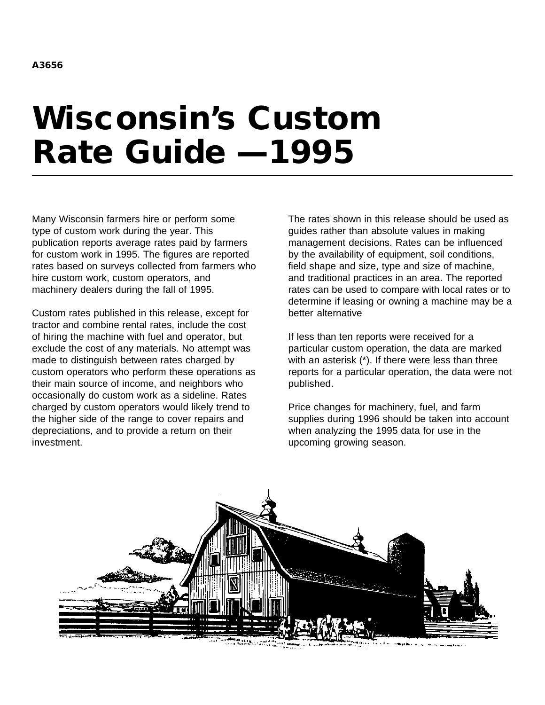# **Wisconsin's Custom Rate Guide —1995**

Many Wisconsin farmers hire or perform some type of custom work during the year. This publication reports average rates paid by farmers for custom work in 1995. The figures are reported rates based on surveys collected from farmers who hire custom work, custom operators, and machinery dealers during the fall of 1995.

Custom rates published in this release, except for tractor and combine rental rates, include the cost of hiring the machine with fuel and operator, but exclude the cost of any materials. No attempt was made to distinguish between rates charged by custom operators who perform these operations as their main source of income, and neighbors who occasionally do custom work as a sideline. Rates charged by custom operators would likely trend to the higher side of the range to cover repairs and depreciations, and to provide a return on their investment.

The rates shown in this release should be used as guides rather than absolute values in making management decisions. Rates can be influenced by the availability of equipment, soil conditions, field shape and size, type and size of machine, and traditional practices in an area. The reported rates can be used to compare with local rates or to determine if leasing or owning a machine may be a better alternative

If less than ten reports were received for a particular custom operation, the data are marked with an asterisk (\*). If there were less than three reports for a particular operation, the data were not published.

Price changes for machinery, fuel, and farm supplies during 1996 should be taken into account when analyzing the 1995 data for use in the upcoming growing season.

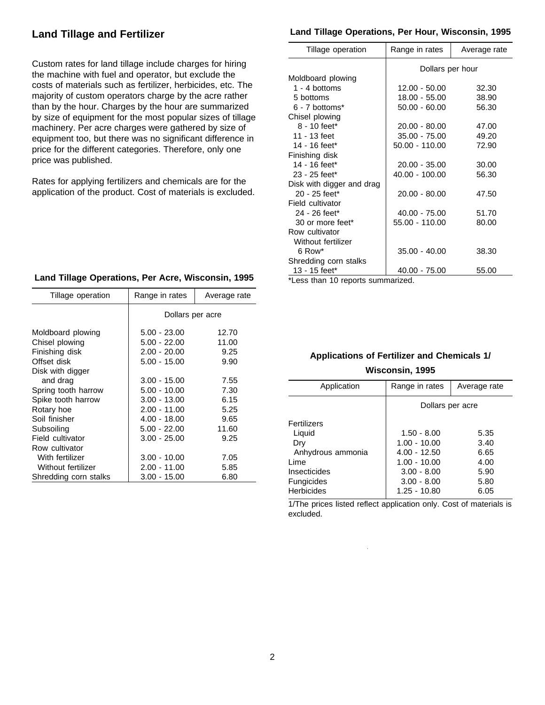# **Land Tillage and Fertilizer**

Custom rates for land tillage include charges for hiring the machine with fuel and operator, but exclude the costs of materials such as fertilizer, herbicides, etc. The majority of custom operators charge by the acre rather than by the hour. Charges by the hour are summarized by size of equipment for the most popular sizes of tillage machinery. Per acre charges were gathered by size of equipment too, but there was no significant difference in price for the different categories. Therefore, only one price was published.

Rates for applying fertilizers and chemicals are for the application of the product. Cost of materials is excluded.

#### **Land Tillage Operations, Per Acre, Wisconsin, 1995**

| Tillage operation     | Range in rates   | Average rate |  |  |  |
|-----------------------|------------------|--------------|--|--|--|
|                       | Dollars per acre |              |  |  |  |
| Moldboard plowing     | $5.00 - 23.00$   | 12.70        |  |  |  |
| Chisel plowing        | $5.00 - 22.00$   | 11.00        |  |  |  |
| Finishing disk        | $2.00 - 20.00$   | 9.25         |  |  |  |
| Offset disk           | $5.00 - 15.00$   | 9.90         |  |  |  |
| Disk with digger      |                  |              |  |  |  |
| and drag              | $3.00 - 15.00$   | 7.55         |  |  |  |
| Spring tooth harrow   | $5.00 - 10.00$   | 7.30         |  |  |  |
| Spike tooth harrow    | $3.00 - 13.00$   | 6.15         |  |  |  |
| Rotary hoe            | $2.00 - 11.00$   | 5.25         |  |  |  |
| Soil finisher         | $4.00 - 18.00$   | 9.65         |  |  |  |
| Subsoiling            | $5.00 - 22.00$   | 11.60        |  |  |  |
| Field cultivator      | $3.00 - 25.00$   | 9.25         |  |  |  |
| Row cultivator        |                  |              |  |  |  |
| With fertilizer       | $3.00 - 10.00$   | 7.05         |  |  |  |
| Without fertilizer    | $2.00 - 11.00$   | 5.85         |  |  |  |
| Shredding corn stalks | $3.00 - 15.00$   | 6.80         |  |  |  |
|                       |                  |              |  |  |  |

#### **Land Tillage Operations, Per Hour, Wisconsin, 1995**

| Tillage operation         | Range in rates   | Average rate |  |  |  |
|---------------------------|------------------|--------------|--|--|--|
|                           | Dollars per hour |              |  |  |  |
| Moldboard plowing         |                  |              |  |  |  |
| 1 - 4 bottoms             | $12.00 - 50.00$  | 32.30        |  |  |  |
| 5 bottoms                 | 18.00 - 55.00    | 38.90        |  |  |  |
| $6 - 7$ bottoms*          | $50.00 - 60.00$  | 56.30        |  |  |  |
| Chisel plowing            |                  |              |  |  |  |
| 8 - 10 feet*              | $20.00 - 80.00$  | 47.00        |  |  |  |
| 11 - 13 feet              | $35.00 - 75.00$  | 49.20        |  |  |  |
| 14 - 16 feet*             | 50.00 - 110.00   | 72.90        |  |  |  |
| Finishing disk            |                  |              |  |  |  |
| 14 - 16 feet*             | $20.00 - 35.00$  | 30.00        |  |  |  |
| 23 - 25 feet*             | 40.00 - 100.00   | 56.30        |  |  |  |
| Disk with digger and drag |                  |              |  |  |  |
| $20 - 25$ feet*           | $20.00 - 80.00$  | 47.50        |  |  |  |
| Field cultivator          |                  |              |  |  |  |
| 24 - 26 feet*             | $40.00 - 75.00$  | 51.70        |  |  |  |
| 30 or more feet*          | 55.00 - 110.00   | 80.00        |  |  |  |
| Row cultivator            |                  |              |  |  |  |
| Without fertilizer        |                  |              |  |  |  |
| 6 Row <sup>*</sup>        | $35.00 - 40.00$  | 38.30        |  |  |  |
| Shredding corn stalks     |                  |              |  |  |  |
| 13 - 15 feet*             | 40.00 - 75.00    | 55.00        |  |  |  |

\*Less than 10 reports summarized.

## **Applications of Fertilizer and Chemicals 1/ Wisconsin, 1995**

| Range in rates   | Average rate |  |  |
|------------------|--------------|--|--|
| Dollars per acre |              |  |  |
|                  |              |  |  |
| $1.50 - 8.00$    | 5.35         |  |  |
| $1.00 - 10.00$   | 3.40         |  |  |
| $4.00 - 12.50$   | 6.65         |  |  |
| $1.00 - 10.00$   | 4.00         |  |  |
| $3.00 - 8.00$    | 5.90         |  |  |
| $3.00 - 8.00$    | 5.80         |  |  |
| $1.25 - 10.80$   | 6.05         |  |  |
|                  |              |  |  |

1/The prices listed reflect application only. Cost of materials is excluded.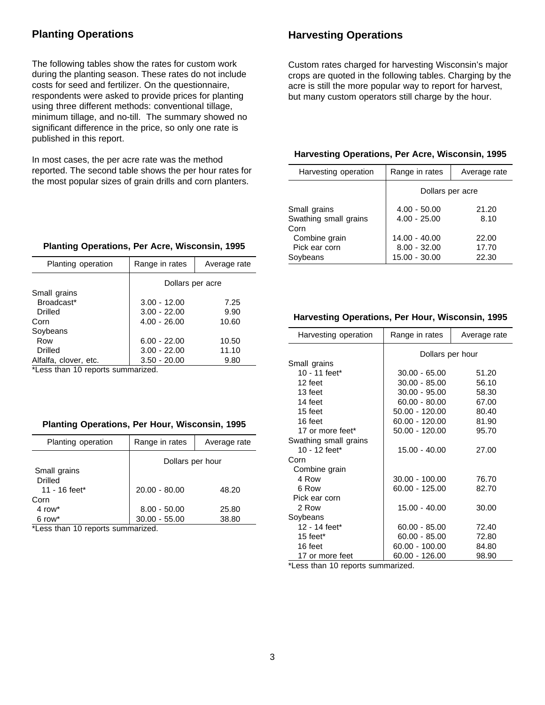# **Planting Operations**

The following tables show the rates for custom work during the planting season. These rates do not include costs for seed and fertilizer. On the questionnaire, respondents were asked to provide prices for planting using three different methods: conventional tillage, minimum tillage, and no-till. The summary showed no significant difference in the price, so only one rate is published in this report.

In most cases, the per acre rate was the method reported. The second table shows the per hour rates for the most popular sizes of grain drills and corn planters.

# **Harvesting Operations**

Custom rates charged for harvesting Wisconsin's major crops are quoted in the following tables. Charging by the acre is still the more popular way to report for harvest, but many custom operators still charge by the hour.

#### **Harvesting Operations, Per Acre, Wisconsin, 1995**

| Harvesting operation                          | Range in rates                    | Average rate   |  |  |
|-----------------------------------------------|-----------------------------------|----------------|--|--|
|                                               | Dollars per acre                  |                |  |  |
| Small grains<br>Swathing small grains<br>Corn | $4.00 - 50.00$<br>$4.00 - 25.00$  | 21.20<br>8.10  |  |  |
| Combine grain<br>Pick ear corn                | $14.00 - 40.00$<br>$8.00 - 32.00$ | 22.00<br>17.70 |  |  |
| Soybeans                                      | 15.00 - 30.00                     | 22.30          |  |  |

# **Harvesting Operations, Per Hour, Wisconsin, 1995**

| Harvesting operation  | Range in rates   | Average rate |  |  |  |
|-----------------------|------------------|--------------|--|--|--|
|                       | Dollars per hour |              |  |  |  |
| Small grains          |                  |              |  |  |  |
| 10 - 11 feet*         | $30.00 - 65.00$  | 51.20        |  |  |  |
| 12 feet               | $30.00 - 85.00$  | 56.10        |  |  |  |
| 13 feet               | $30.00 - 95.00$  | 58.30        |  |  |  |
| 14 feet               | $60.00 - 80.00$  | 67.00        |  |  |  |
| 15 feet               | $50.00 - 120.00$ | 80.40        |  |  |  |
| 16 feet               | 60.00 - 120.00   | 81.90        |  |  |  |
| 17 or more feet*      | 50.00 - 120.00   | 95.70        |  |  |  |
| Swathing small grains |                  |              |  |  |  |
| 10 - 12 feet*         | $15.00 - 40.00$  | 27.00        |  |  |  |
| Corn                  |                  |              |  |  |  |
| Combine grain         |                  |              |  |  |  |
| 4 Row                 | $30.00 - 100.00$ | 76.70        |  |  |  |
| 6 Row                 | 60.00 - 125.00   | 82.70        |  |  |  |
| Pick ear corn         |                  |              |  |  |  |
| 2 Row                 | $15.00 - 40.00$  | 30.00        |  |  |  |
| Soybeans              |                  |              |  |  |  |
| 12 - 14 feet*         | $60.00 - 85.00$  | 72.40        |  |  |  |
| 15 feet $*$           | $60.00 - 85.00$  | 72.80        |  |  |  |
| 16 feet               | 60.00 - 100.00   | 84.80        |  |  |  |
| 17 or more feet       | 60.00 - 126.00   | 98.90        |  |  |  |

\*Less than 10 reports summarized.

#### **Planting Operations, Per Acre, Wisconsin, 1995**

| Planting operation    | Range in rates   | Average rate |  |  |  |  |
|-----------------------|------------------|--------------|--|--|--|--|
|                       | Dollars per acre |              |  |  |  |  |
| Small grains          |                  |              |  |  |  |  |
| Broadcast*            | $3.00 - 12.00$   | 7.25         |  |  |  |  |
| Drilled               | $3.00 - 22.00$   | 9.90         |  |  |  |  |
| Corn                  | $4.00 - 26.00$   | 10.60        |  |  |  |  |
| Soybeans              |                  |              |  |  |  |  |
| Row                   | $6.00 - 22.00$   | 10.50        |  |  |  |  |
| Drilled               | $3.00 - 22.00$   | 11.10        |  |  |  |  |
| Alfalfa, clover, etc. | $3.50 - 20.00$   | 9.80         |  |  |  |  |
|                       |                  |              |  |  |  |  |

\*Less than 10 reports summarized.

#### **Planting Operations, Per Hour, Wisconsin, 1995**

| Planting operation               | Range in rates   | Average rate |  |  |  |  |
|----------------------------------|------------------|--------------|--|--|--|--|
|                                  | Dollars per hour |              |  |  |  |  |
| Small grains                     |                  |              |  |  |  |  |
| Drilled                          |                  |              |  |  |  |  |
| 11 - 16 feet*                    | $20.00 - 80.00$  | 48.20        |  |  |  |  |
| Corn                             |                  |              |  |  |  |  |
| 4 row <sup>*</sup>               | $8.00 - 50.00$   | 25.80        |  |  |  |  |
| 6 row <sup>*</sup>               | $30.00 - 55.00$  | 38.80        |  |  |  |  |
| *Leee than 10 reporte eummarized |                  |              |  |  |  |  |

Less than 10 reports summarized.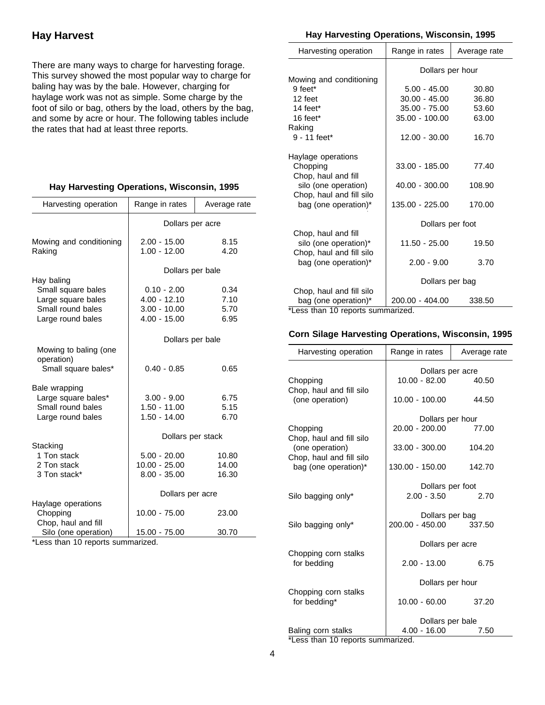### **Hay Harvest**

There are many ways to charge for harvesting forage. This survey showed the most popular way to charge for baling hay was by the bale. However, charging for haylage work was not as simple. Some charge by the foot of silo or bag, others by the load, others by the bag, and some by acre or hour. The following tables include the rates that had at least three reports.

#### **Hay Harvesting Operations, Wisconsin, 1995**

| Harvesting operation                        | Range in rates    | Average rate |  |
|---------------------------------------------|-------------------|--------------|--|
|                                             | Dollars per acre  |              |  |
| Mowing and conditioning                     | $2.00 - 15.00$    | 8.15         |  |
| Raking                                      | $1.00 - 12.00$    | 4.20         |  |
|                                             | Dollars per bale  |              |  |
| Hay baling                                  |                   |              |  |
| Small square bales                          | $0.10 - 2.00$     | 0.34         |  |
| Large square bales                          | $4.00 - 12.10$    | 7.10         |  |
| Small round bales                           | $3.00 - 10.00$    | 5.70         |  |
| Large round bales                           | $4.00 - 15.00$    | 6.95         |  |
|                                             | Dollars per bale  |              |  |
| Mowing to baling (one<br>operation)         |                   |              |  |
| Small square bales*                         | $0.40 - 0.85$     | 0.65         |  |
| Bale wrapping                               |                   |              |  |
| Large square bales*                         | $3.00 - 9.00$     | 6.75         |  |
| Small round bales                           | $1.50 - 11.00$    | 5.15         |  |
| Large round bales                           | $1.50 - 14.00$    | 6.70         |  |
|                                             | Dollars per stack |              |  |
| Stacking                                    |                   |              |  |
| 1 Ton stack                                 | $5.00 - 20.00$    | 10.80        |  |
| 2 Ton stack                                 | $10.00 - 25.00$   | 14.00        |  |
| 3 Ton stack*                                | $8.00 - 35.00$    | 16.30        |  |
|                                             | Dollars per acre  |              |  |
| Haylage operations                          |                   |              |  |
| Chopping                                    | 10.00 - 75.00     | 23.00        |  |
| Chop, haul and fill<br>Silo (one operation) | 15.00 - 75.00     | 30.70        |  |

\*Less than 10 reports summarized.

#### **Hay Harvesting Operations, Wisconsin, 1995**

| Harvesting operation                                                     | Range in rates   | Average rate |  |  |  |
|--------------------------------------------------------------------------|------------------|--------------|--|--|--|
|                                                                          | Dollars per hour |              |  |  |  |
| Mowing and conditioning                                                  |                  |              |  |  |  |
| 9 feet*                                                                  | $5.00 - 45.00$   | 30.80        |  |  |  |
| 12 feet                                                                  | $30.00 - 45.00$  | 36.80        |  |  |  |
| 14 feet $*$                                                              | 35.00 - 75.00    | 53.60        |  |  |  |
| 16 feet $*$                                                              | $35.00 - 100.00$ | 63.00        |  |  |  |
| Raking                                                                   |                  |              |  |  |  |
| 9 - 11 feet*                                                             | $12.00 - 30.00$  | 16.70        |  |  |  |
| Haylage operations                                                       |                  |              |  |  |  |
| Chopping                                                                 | 33.00 - 185.00   | 77.40        |  |  |  |
| Chop, haul and fill<br>silo (one operation)<br>Chop, haul and fill silo  | $40.00 - 300.00$ | 108.90       |  |  |  |
| bag (one operation)*                                                     | 135.00 - 225.00  | 170.00       |  |  |  |
|                                                                          | Dollars per foot |              |  |  |  |
| Chop, haul and fill<br>silo (one operation)*<br>Chop, haul and fill silo | $11.50 - 25.00$  | 19.50        |  |  |  |
| bag (one operation)*                                                     | $2.00 - 9.00$    | 3.70         |  |  |  |
|                                                                          | Dollars per bag  |              |  |  |  |
| Chop, haul and fill silo<br>bag (one operation)*                         | 200.00 - 404.00  | 338.50       |  |  |  |
| *Less than 10 reports summarized.                                        |                  |              |  |  |  |

ess than 10 reports summarized.

#### **Corn Silage Harvesting Operations, Wisconsin, 1995**

| Harvesting operation                                                    | Range in rates                            | Average rate |  |  |  |  |
|-------------------------------------------------------------------------|-------------------------------------------|--------------|--|--|--|--|
|                                                                         | Dollars per acre                          |              |  |  |  |  |
| Chopping                                                                | 10.00 - 82.00                             | 40.50        |  |  |  |  |
| Chop, haul and fill silo<br>(one operation)                             | 10.00 - 100.00                            | 44.50        |  |  |  |  |
|                                                                         | Dollars per hour                          |              |  |  |  |  |
| Chopping                                                                | 20.00 - 200.00                            | 77.00        |  |  |  |  |
| Chop, haul and fill silo<br>(one operation)<br>Chop, haul and fill silo | 33.00 - 300.00                            | 104.20       |  |  |  |  |
| bag (one operation)*                                                    | 130.00 - 150.00                           | 142.70       |  |  |  |  |
| Silo bagging only*                                                      | Dollars per foot<br>$2.00 - 3.50$         | 2.70         |  |  |  |  |
| Silo bagging only*                                                      | Dollars per bag<br>200.00 - 450.00 337.50 |              |  |  |  |  |
|                                                                         | Dollars per acre                          |              |  |  |  |  |
| Chopping corn stalks<br>for bedding                                     | $2.00 - 13.00$                            | 6.75         |  |  |  |  |
|                                                                         | Dollars per hour                          |              |  |  |  |  |
| Chopping corn stalks<br>for bedding*                                    | 10.00 - 60.00                             | 37.20        |  |  |  |  |
|                                                                         | Dollars per bale                          |              |  |  |  |  |
| Baling corn stalks                                                      | $4.00 - 16.00$                            | 7.50         |  |  |  |  |
| *Less than 10 reports summarized.                                       |                                           |              |  |  |  |  |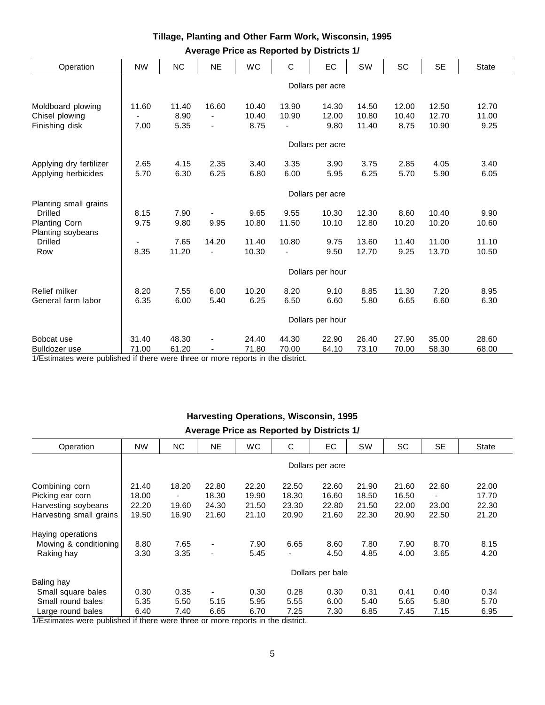|  |                                           | Tillage, Planting and Other Farm Work, Wisconsin, 1995 |  |
|--|-------------------------------------------|--------------------------------------------------------|--|
|  | Average Price as Reported by Districts 1/ |                                                        |  |

| Operation                                 | <b>NW</b>                   | <b>NC</b>        | <b>NE</b>                | WC                     | $\mathbf C$        | EC               | SW    | SC    | <b>SE</b> | <b>State</b> |
|-------------------------------------------|-----------------------------|------------------|--------------------------|------------------------|--------------------|------------------|-------|-------|-----------|--------------|
|                                           |                             | Dollars per acre |                          |                        |                    |                  |       |       |           |              |
| Moldboard plowing                         | 11.60                       | 11.40            | 16.60                    | 10.40                  | 13.90              | 14.30            | 14.50 | 12.00 | 12.50     | 12.70        |
| Chisel plowing                            |                             | 8.90             |                          | 10.40                  | 10.90              | 12.00            | 10.80 | 10.40 | 12.70     | 11.00        |
| Finishing disk                            | 7.00                        | 5.35             | $\overline{\phantom{a}}$ | 8.75                   |                    | 9.80             | 11.40 | 8.75  | 10.90     | 9.25         |
|                                           |                             |                  |                          |                        |                    | Dollars per acre |       |       |           |              |
| Applying dry fertilizer                   | 2.65                        | 4.15             | 2.35                     | 3.40                   | 3.35               | 3.90             | 3.75  | 2.85  | 4.05      | 3.40         |
| Applying herbicides                       | 5.70                        | 6.30             | 6.25                     | 6.80                   | 6.00               | 5.95             | 6.25  | 5.70  | 5.90      | 6.05         |
|                                           |                             |                  |                          |                        |                    | Dollars per acre |       |       |           |              |
| Planting small grains                     |                             |                  |                          |                        |                    |                  |       |       |           |              |
| <b>Drilled</b>                            | 8.15                        | 7.90             |                          | 9.65                   | 9.55               | 10.30            | 12.30 | 8.60  | 10.40     | 9.90         |
| <b>Planting Corn</b><br>Planting soybeans | 9.75                        | 9.80             | 9.95                     | 10.80                  | 11.50              | 10.10            | 12.80 | 10.20 | 10.20     | 10.60        |
| <b>Drilled</b>                            |                             | 7.65             | 14.20                    | 11.40                  | 10.80              | 9.75             | 13.60 | 11.40 | 11.00     | 11.10        |
| Row                                       | 8.35                        | 11.20            |                          | 10.30                  |                    | 9.50             | 12.70 | 9.25  | 13.70     | 10.50        |
|                                           |                             | Dollars per hour |                          |                        |                    |                  |       |       |           |              |
| Relief milker                             | 8.20                        | 7.55             | 6.00                     | 10.20                  | 8.20               | 9.10             | 8.85  | 11.30 | 7.20      | 8.95         |
| General farm labor                        | 6.35                        | 6.00             | 5.40                     | 6.25                   | 6.50               | 6.60             | 5.80  | 6.65  | 6.60      | 6.30         |
|                                           | Dollars per hour            |                  |                          |                        |                    |                  |       |       |           |              |
| Bobcat use                                | 31.40                       | 48.30            | -                        | 24.40                  | 44.30              | 22.90            | 26.40 | 27.90 | 35.00     | 28.60        |
| Bulldozer use                             | 71.00                       | 61.20            |                          | 71.80                  | 70.00              | 64.10            | 73.10 | 70.00 | 58.30     | 68.00        |
|                                           | والانتقاد المراج والمواليات | $41-$            |                          | والمله المترات والمساو | $-12 = 4$ and $-1$ |                  |       |       |           |              |

1/Estimates were published if there were three or more reports in the district.

# **Harvesting Operations, Wisconsin, 1995**

# **Average Price as Reported by Districts 1/**

| Operation               | <b>NW</b>        | <b>NC</b> | <b>NE</b> | <b>WC</b> | C     | EC    | <b>SW</b> | <b>SC</b> | <b>SE</b>      | <b>State</b> |
|-------------------------|------------------|-----------|-----------|-----------|-------|-------|-----------|-----------|----------------|--------------|
|                         | Dollars per acre |           |           |           |       |       |           |           |                |              |
| Combining corn          | 21.40            | 18.20     | 22.80     | 22.20     | 22.50 | 22.60 | 21.90     | 21.60     | 22.60          | 22.00        |
| Picking ear corn        | 18.00            | Ξ.        | 18.30     | 19.90     | 18.30 | 16.60 | 18.50     | 16.50     | $\blacksquare$ | 17.70        |
| Harvesting soybeans     | 22.20            | 19.60     | 24.30     | 21.50     | 23.30 | 22.80 | 21.50     | 22.00     | 23.00          | 22.30        |
| Harvesting small grains | 19.50            | 16.90     | 21.60     | 21.10     | 20.90 | 21.60 | 22.30     | 20.90     | 22.50          | 21.20        |
| Haying operations       |                  |           |           |           |       |       |           |           |                |              |
| Mowing & conditioning   | 8.80             | 7.65      | ۰         | 7.90      | 6.65  | 8.60  | 7.80      | 7.90      | 8.70           | 8.15         |
| Raking hay              | 3.30             | 3.35      | ۰         | 5.45      | ٠     | 4.50  | 4.85      | 4.00      | 3.65           | 4.20         |
|                         | Dollars per bale |           |           |           |       |       |           |           |                |              |
| Baling hay              |                  |           |           |           |       |       |           |           |                |              |
| Small square bales      | 0.30             | 0.35      | ۰         | 0.30      | 0.28  | 0.30  | 0.31      | 0.41      | 0.40           | 0.34         |
| Small round bales       | 5.35             | 5.50      | 5.15      | 5.95      | 5.55  | 6.00  | 5.40      | 5.65      | 5.80           | 5.70         |
| Large round bales       | 6.40             | 7.40      | 6.65      | 6.70      | 7.25  | 7.30  | 6.85      | 7.45      | 7.15           | 6.95         |

1/Estimates were published if there were three or more reports in the district.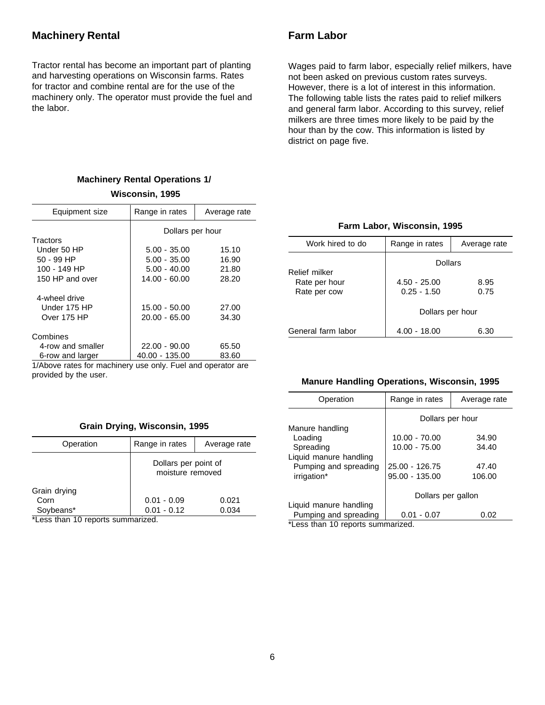# **Machinery Rental**

Tractor rental has become an important part of planting and harvesting operations on Wisconsin farms. Rates for tractor and combine rental are for the use of the machinery only. The operator must provide the fuel and the labor.

# **Farm Labor**

Wages paid to farm labor, especially relief milkers, have not been asked on previous custom rates surveys. However, there is a lot of interest in this information. The following table lists the rates paid to relief milkers and general farm labor. According to this survey, relief milkers are three times more likely to be paid by the hour than by the cow. This information is listed by district on page five.

# **Machinery Rental Operations 1/ Wisconsin, 1995**

| Equipment size         | Range in rates   | Average rate |  |  |
|------------------------|------------------|--------------|--|--|
|                        | Dollars per hour |              |  |  |
| Tractors               |                  |              |  |  |
| Under 50 HP            | $5.00 - 35.00$   | 15.10        |  |  |
| 50 - 99 HP             | $5.00 - 35.00$   | 16.90        |  |  |
| 100 - 149 HP           | $5.00 - 40.00$   | 21.80        |  |  |
| 150 HP and over        | $14.00 - 60.00$  | 28.20        |  |  |
| 4-wheel drive          |                  |              |  |  |
| Under 175 HP           | $15.00 - 50.00$  | 27.00        |  |  |
| Over 175 HP            | $20.00 - 65.00$  | 34.30        |  |  |
| Combines               |                  |              |  |  |
| 4-row and smaller      | $22.00 - 90.00$  | 65.50        |  |  |
| 6-row and larger       | 40.00 - 135.00   | 83.60        |  |  |
| د است. است. ا⊏ان دانده |                  |              |  |  |

1/Above rates for machinery use only. Fuel and operator are provided by the user.

#### **Grain Drying, Wisconsin, 1995**

| Operation                        | Range in rates                           | Average rate |  |  |
|----------------------------------|------------------------------------------|--------------|--|--|
|                                  | Dollars per point of<br>moisture removed |              |  |  |
| Grain drying                     |                                          |              |  |  |
| Corn                             | $0.01 - 0.09$                            | 0.021        |  |  |
| Soybeans*                        | $0.01 - 0.12$                            | 0.034        |  |  |
| *Less than 10 reports summarized |                                          |              |  |  |

Less than 10 reports summarized.

#### **Farm Labor, Wisconsin, 1995**

| Work hired to do              | Range in rates                  | Average rate |  |
|-------------------------------|---------------------------------|--------------|--|
| Relief milker                 | Dollars                         |              |  |
| Rate per hour<br>Rate per cow | $4.50 - 25.00$<br>$0.25 - 1.50$ | 8.95<br>0.75 |  |
|                               | Dollars per hour                |              |  |
| General farm labor            | $4.00 - 18.00$                  | 6.30         |  |

#### **Manure Handling Operations, Wisconsin, 1995**

| Operation                       | Range in rates     | Average rate |  |  |
|---------------------------------|--------------------|--------------|--|--|
|                                 | Dollars per hour   |              |  |  |
| Manure handling                 |                    |              |  |  |
| Loading                         | $10.00 - 70.00$    | 34.90        |  |  |
| Spreading                       | $10.00 - 75.00$    | 34.40        |  |  |
| Liquid manure handling          |                    |              |  |  |
| Pumping and spreading           | 25.00 - 126.75     | 47.40        |  |  |
| irrigation*                     | $95.00 - 135.00$   | 106.00       |  |  |
|                                 |                    |              |  |  |
|                                 | Dollars per gallon |              |  |  |
| Liquid manure handling          |                    |              |  |  |
| Pumping and spreading           | $0.01 - 0.07$      | 0.02         |  |  |
| *Locathan 10 reports summarized |                    |              |  |  |

\*Less than 10 reports summarized.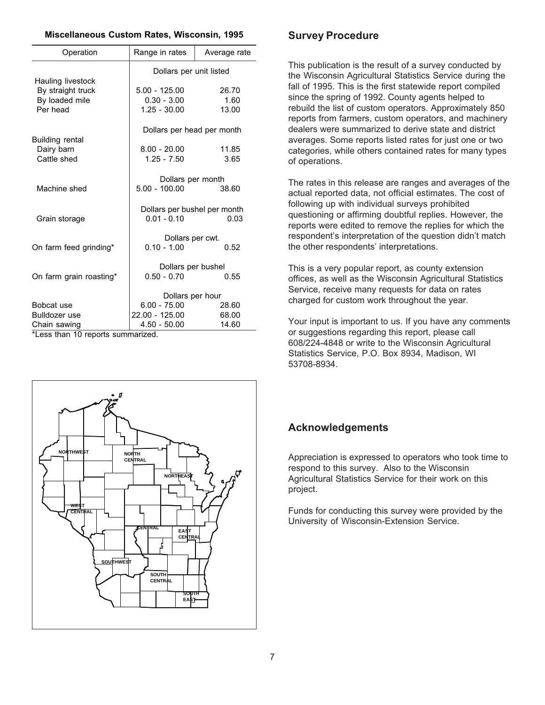#### **Miscellaneous Custom Rates, Wisconsin, 1995**

| Average rate                                  |  |  |  |
|-----------------------------------------------|--|--|--|
| Dollars per unit listed                       |  |  |  |
|                                               |  |  |  |
| 26.70                                         |  |  |  |
| 1.60                                          |  |  |  |
| 13.00                                         |  |  |  |
| Dollars per head per month                    |  |  |  |
|                                               |  |  |  |
| 11.85                                         |  |  |  |
| 3.65                                          |  |  |  |
|                                               |  |  |  |
| 38.60                                         |  |  |  |
|                                               |  |  |  |
| Dollars per bushel per month<br>$0.01 - 0.10$ |  |  |  |
| 0.03                                          |  |  |  |
|                                               |  |  |  |
| 0.52                                          |  |  |  |
|                                               |  |  |  |
|                                               |  |  |  |
| 0.55                                          |  |  |  |
|                                               |  |  |  |
| 28.60                                         |  |  |  |
| 68.00                                         |  |  |  |
| 14.60                                         |  |  |  |
|                                               |  |  |  |

Less than 10 reports summarized.



# **Survey Procedure**

This publication is the result of a survey conducted by the Wisconsin Agricultural Statistics Service during the fall of 1995. This is the first statewide report compiled since the spring of 1992. County agents helped to rebuild the list of custom operators. Approximately 850 reports from farmers, custom operators, and machinery dealers were summarized to derive state and district averages. Some reports listed rates for just one or two categories, while others contained rates for many types of operations.

The rates in this release are ranges and averages of the actual reported data, not official estimates. The cost of following up with individual surveys prohibited questioning or affirming doubtful replies. However, the reports were edited to remove the replies for which the respondent's interpretation of the question didn't match the other respondents' interpretations.

This is a very popular report, as county extension offices, as well as the Wisconsin Agricultural Statistics Service, receive many requests for data on rates charged for custom work throughout the year.

Your input is important to us. If you have any comments or suggestions regarding this report, please call 608/224-4848 or write to the Wisconsin Agricultural Statistics Service, P.O. Box 8934, Madison, WI 53708-8934.

# **Acknowledgements**

Appreciation is expressed to operators who took time to respond to this survey. Also to the Wisconsin Agricultural Statistics Service for their work on this project.

Funds for conducting this survey were provided by the University of Wisconsin-Extension Service.